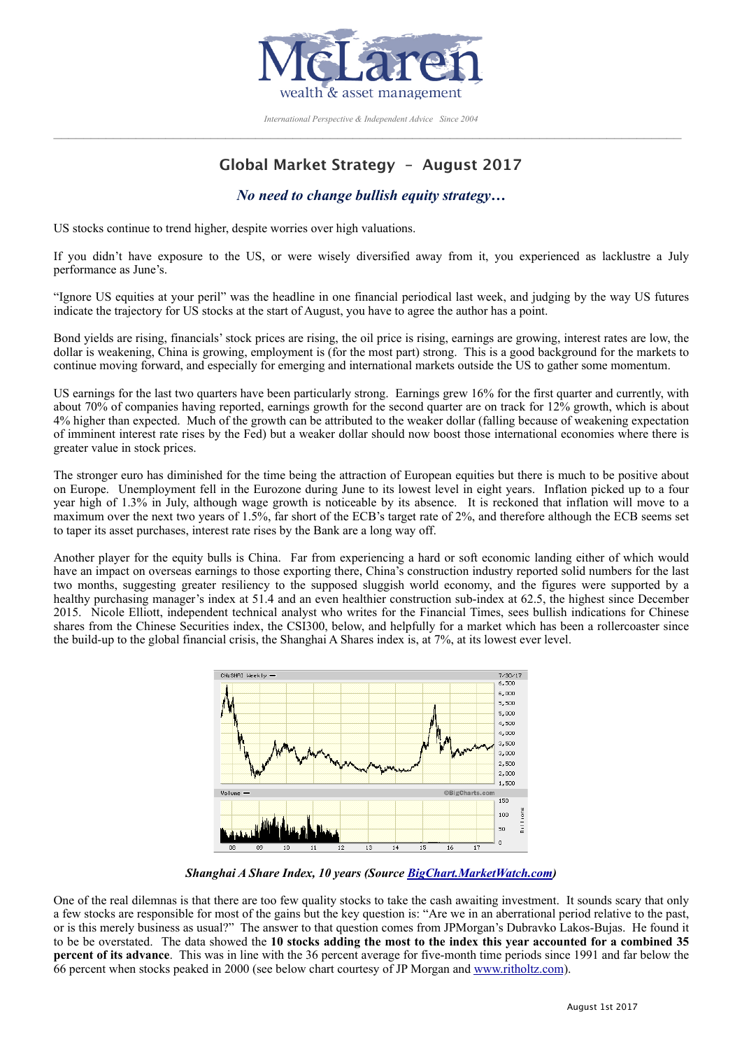

*International Perspective & Independent Advice Since 2004*  $\_$  , and the state of the state of the state of the state of the state of the state of the state of the state of the state of the state of the state of the state of the state of the state of the state of the state of the

# **Global Market Strategy – August 2017**

## *No need to change bullish equity strategy…*

US stocks continue to trend higher, despite worries over high valuations.

If you didn't have exposure to the US, or were wisely diversified away from it, you experienced as lacklustre a July performance as June's.

"Ignore US equities at your peril" was the headline in one financial periodical last week, and judging by the way US futures indicate the trajectory for US stocks at the start of August, you have to agree the author has a point.

Bond yields are rising, financials' stock prices are rising, the oil price is rising, earnings are growing, interest rates are low, the dollar is weakening, China is growing, employment is (for the most part) strong. This is a good background for the markets to continue moving forward, and especially for emerging and international markets outside the US to gather some momentum.

US earnings for the last two quarters have been particularly strong. Earnings grew 16% for the first quarter and currently, with about 70% of companies having reported, earnings growth for the second quarter are on track for 12% growth, which is about 4% higher than expected. Much of the growth can be attributed to the weaker dollar (falling because of weakening expectation of imminent interest rate rises by the Fed) but a weaker dollar should now boost those international economies where there is greater value in stock prices.

The stronger euro has diminished for the time being the attraction of European equities but there is much to be positive about on Europe. Unemployment fell in the Eurozone during June to its lowest level in eight years. Inflation picked up to a four year high of 1.3% in July, although wage growth is noticeable by its absence. It is reckoned that inflation will move to a maximum over the next two years of 1.5%, far short of the ECB's target rate of 2%, and therefore although the ECB seems set to taper its asset purchases, interest rate rises by the Bank are a long way off.

Another player for the equity bulls is China. Far from experiencing a hard or soft economic landing either of which would have an impact on overseas earnings to those exporting there, China's construction industry reported solid numbers for the last two months, suggesting greater resiliency to the supposed sluggish world economy, and the figures were supported by a healthy purchasing manager's index at 51.4 and an even healthier construction sub-index at 62.5, the highest since December 2015. Nicole Elliott, independent technical analyst who writes for the Financial Times, sees bullish indications for Chinese shares from the Chinese Securities index, the CSI300, below, and helpfully for a market which has been a rollercoaster since the build-up to the global financial crisis, the Shanghai A Shares index is, at 7%, at its lowest ever level.



*Shanghai A Share Index, 10 years (Source [BigChart.MarketWatch.com](http://BigChart.MarketWatch.com))* 

One of the real dilemnas is that there are too few quality stocks to take the cash awaiting investment. It sounds scary that only a few stocks are responsible for most of the gains but the key question is: "Are we in an aberrational period relative to the past, or is this merely business as usual?" The answer to that question comes from JPMorgan's Dubravko Lakos-Bujas. He found it to be be overstated. The data showed the **10 stocks adding the most to the index this year accounted for a combined 35 percent of its advance**. This was in line with the 36 percent average for five-month time periods since 1991 and far below the 66 percent when stocks peaked in 2000 (see below chart courtesy of JP Morgan and [www.ritholtz.com](http://www.ritholtz.com)).